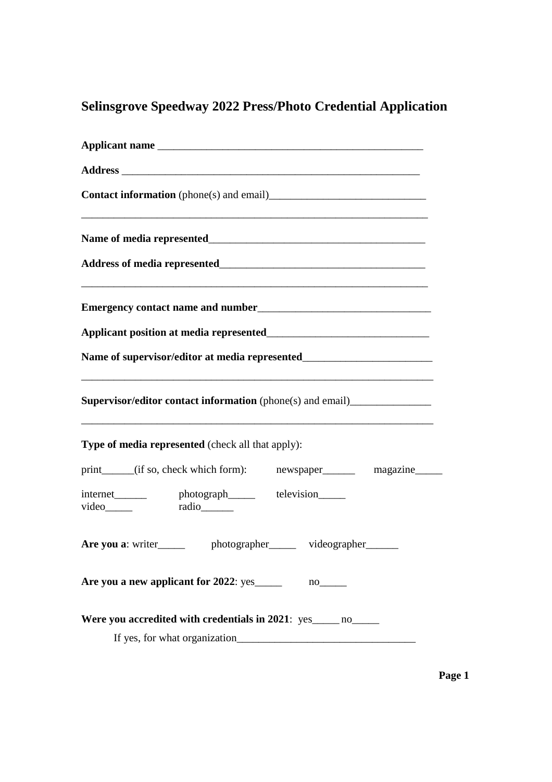## **Selinsgrove Speedway 2022 Press/Photo Credential Application**

| <u> 1989 - Johann Stoff, amerikansk politiker (d. 1989)</u>                                                                                                                                               |
|-----------------------------------------------------------------------------------------------------------------------------------------------------------------------------------------------------------|
|                                                                                                                                                                                                           |
|                                                                                                                                                                                                           |
|                                                                                                                                                                                                           |
|                                                                                                                                                                                                           |
| Name of supervisor/editor at media represented__________________________________<br><u> 1989 - Johann Harry Harry Harry Harry Harry Harry Harry Harry Harry Harry Harry Harry Harry Harry Harry Harry</u> |
| <b>Supervisor/editor contact information</b> (phone(s) and email)_____________________<br><u> 1989 - Johann Stoff, amerikansk politiker (d. 1989)</u>                                                     |
| Type of media represented (check all that apply):                                                                                                                                                         |
| print_____(if so, check which form): newspaper________ magazine_____                                                                                                                                      |
| internet________ photograph______ television_____                                                                                                                                                         |
| Are you a: writer______ photographer_____ videographer_____                                                                                                                                               |
|                                                                                                                                                                                                           |
| Were you accredited with credentials in 2021: yes no                                                                                                                                                      |

**Page 1**